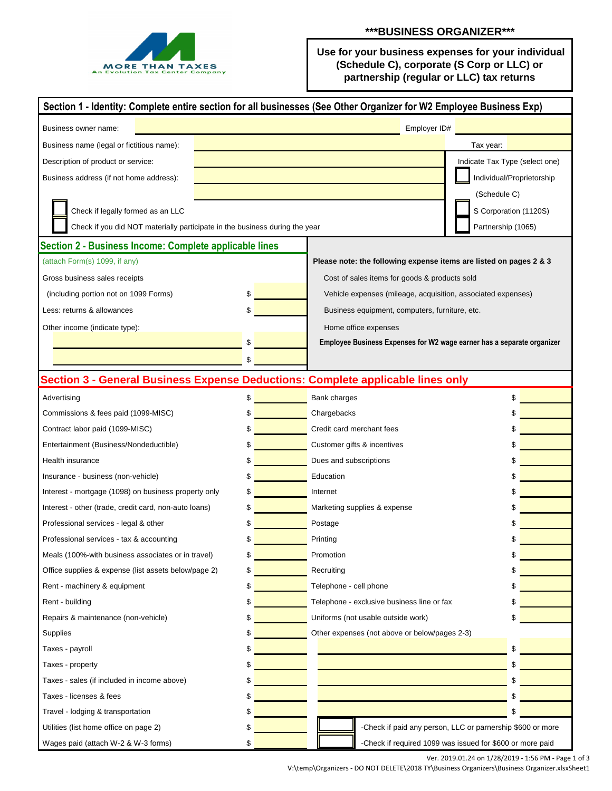

 **Use for your business expenses for your individual (Schedule C), corporate (S Corp or LLC) or partnership (regular or LLC) tax returns** 

| Section 1 - Identity: Complete entire section for all businesses (See Other Organizer for W2 Employee Business Exp) |              |                                                                        |                                                            |  |  |  |
|---------------------------------------------------------------------------------------------------------------------|--------------|------------------------------------------------------------------------|------------------------------------------------------------|--|--|--|
| Business owner name:                                                                                                | Employer ID# |                                                                        |                                                            |  |  |  |
| Business name (legal or fictitious name):                                                                           |              |                                                                        | Tax year:                                                  |  |  |  |
| Description of product or service:                                                                                  |              |                                                                        | Indicate Tax Type (select one)                             |  |  |  |
| Business address (if not home address):                                                                             |              |                                                                        | Individual/Proprietorship                                  |  |  |  |
|                                                                                                                     |              |                                                                        | (Schedule C)                                               |  |  |  |
| Check if legally formed as an LLC                                                                                   |              |                                                                        | S Corporation (1120S)                                      |  |  |  |
| Check if you did NOT materially participate in the business during the year                                         |              |                                                                        | Partnership (1065)                                         |  |  |  |
| Section 2 - Business Income: Complete applicable lines                                                              |              |                                                                        |                                                            |  |  |  |
| (attach Form(s) 1099, if any)                                                                                       |              | Please note: the following expense items are listed on pages 2 & 3     |                                                            |  |  |  |
| Gross business sales receipts                                                                                       |              | Cost of sales items for goods & products sold                          |                                                            |  |  |  |
| (including portion not on 1099 Forms)                                                                               |              | Vehicle expenses (mileage, acquisition, associated expenses)           |                                                            |  |  |  |
| Less: returns & allowances                                                                                          |              | Business equipment, computers, furniture, etc.                         |                                                            |  |  |  |
| Other income (indicate type):                                                                                       |              | Home office expenses                                                   |                                                            |  |  |  |
|                                                                                                                     |              | Employee Business Expenses for W2 wage earner has a separate organizer |                                                            |  |  |  |
|                                                                                                                     |              |                                                                        |                                                            |  |  |  |
| Section 3 - General Business Expense Deductions: Complete applicable lines only                                     |              |                                                                        |                                                            |  |  |  |
| Advertising                                                                                                         | \$           | Bank charges                                                           | \$                                                         |  |  |  |
|                                                                                                                     |              |                                                                        |                                                            |  |  |  |
| Commissions & fees paid (1099-MISC)                                                                                 |              | Chargebacks<br>Credit card merchant fees                               |                                                            |  |  |  |
| Contract labor paid (1099-MISC)                                                                                     |              |                                                                        |                                                            |  |  |  |
| Entertainment (Business/Nondeductible)                                                                              |              | Customer gifts & incentives                                            |                                                            |  |  |  |
| Health insurance                                                                                                    |              | Dues and subscriptions                                                 |                                                            |  |  |  |
| Insurance - business (non-vehicle)<br>Interest - mortgage (1098) on business property only                          |              | Education                                                              |                                                            |  |  |  |
|                                                                                                                     |              | Internet                                                               |                                                            |  |  |  |
| Interest - other (trade, credit card, non-auto loans)                                                               |              | Marketing supplies & expense                                           |                                                            |  |  |  |
| Professional services - legal & other                                                                               |              | Postage                                                                |                                                            |  |  |  |
| Professional services - tax & accounting                                                                            |              | Printing                                                               |                                                            |  |  |  |
| Meals (100%-with business associates or in travel)                                                                  |              | Promotion                                                              | S                                                          |  |  |  |
| Office supplies & expense (list assets below/page 2)                                                                |              | Recruiting                                                             |                                                            |  |  |  |
| Rent - machinery & equipment                                                                                        | \$           | Telephone - cell phone                                                 |                                                            |  |  |  |
| Rent - building                                                                                                     |              | Telephone - exclusive business line or fax                             |                                                            |  |  |  |
| Repairs & maintenance (non-vehicle)                                                                                 |              | Uniforms (not usable outside work)                                     |                                                            |  |  |  |
| Supplies                                                                                                            |              | Other expenses (not above or below/pages 2-3)                          |                                                            |  |  |  |
| Taxes - payroll                                                                                                     |              |                                                                        | \$                                                         |  |  |  |
| Taxes - property                                                                                                    |              |                                                                        |                                                            |  |  |  |
| Taxes - sales (if included in income above)                                                                         |              |                                                                        |                                                            |  |  |  |
| Taxes - licenses & fees                                                                                             |              |                                                                        |                                                            |  |  |  |
| Travel - lodging & transportation                                                                                   |              |                                                                        |                                                            |  |  |  |
| Utilities (list home office on page 2)                                                                              |              |                                                                        | -Check if paid any person, LLC or parnership \$600 or more |  |  |  |
| Wages paid (attach W-2 & W-3 forms)                                                                                 |              |                                                                        | -Check if required 1099 was issued for \$600 or more paid  |  |  |  |

Ver. 2019.01.24 on 1/28/2019 - 1:56 PM - Page 1 of 3 V:\temp\Organizers - DO NOT DELETE\2018 TY\Business Organizers\Business Organizer.xlsxSheet1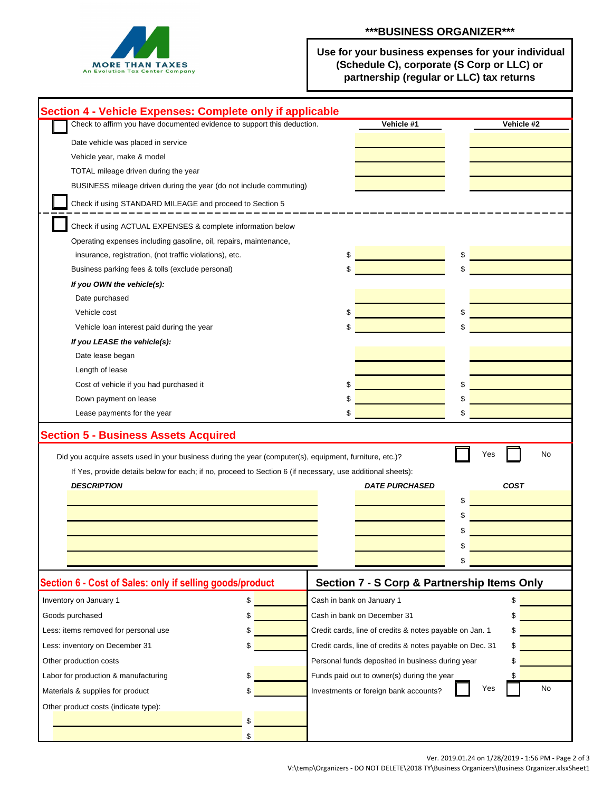

 **Use for your business expenses for your individual (Schedule C), corporate (S Corp or LLC) or partnership (regular or LLC) tax returns** 

| Section 4 - Vehicle Expenses: Complete only if applicable                                                                                                                                                                                   |                                                                    |                                                          |                                   |                          |  |  |
|---------------------------------------------------------------------------------------------------------------------------------------------------------------------------------------------------------------------------------------------|--------------------------------------------------------------------|----------------------------------------------------------|-----------------------------------|--------------------------|--|--|
| Check to affirm you have documented evidence to support this deduction.                                                                                                                                                                     |                                                                    |                                                          | Vehicle #1                        | Vehicle #2               |  |  |
| Date vehicle was placed in service                                                                                                                                                                                                          |                                                                    |                                                          |                                   |                          |  |  |
| Vehicle year, make & model                                                                                                                                                                                                                  |                                                                    |                                                          |                                   |                          |  |  |
| TOTAL mileage driven during the year                                                                                                                                                                                                        |                                                                    |                                                          |                                   |                          |  |  |
|                                                                                                                                                                                                                                             | BUSINESS mileage driven during the year (do not include commuting) |                                                          |                                   |                          |  |  |
| Check if using STANDARD MILEAGE and proceed to Section 5                                                                                                                                                                                    |                                                                    |                                                          |                                   |                          |  |  |
|                                                                                                                                                                                                                                             |                                                                    |                                                          |                                   |                          |  |  |
| Check if using ACTUAL EXPENSES & complete information below                                                                                                                                                                                 |                                                                    |                                                          |                                   |                          |  |  |
| Operating expenses including gasoline, oil, repairs, maintenance,                                                                                                                                                                           |                                                                    |                                                          |                                   |                          |  |  |
| insurance, registration, (not traffic violations), etc.                                                                                                                                                                                     |                                                                    | \$                                                       | \$                                |                          |  |  |
| Business parking fees & tolls (exclude personal)                                                                                                                                                                                            |                                                                    | \$                                                       |                                   |                          |  |  |
| If you OWN the vehicle(s):                                                                                                                                                                                                                  |                                                                    |                                                          |                                   |                          |  |  |
| Date purchased                                                                                                                                                                                                                              |                                                                    |                                                          |                                   |                          |  |  |
| Vehicle cost                                                                                                                                                                                                                                |                                                                    | \$                                                       |                                   |                          |  |  |
| Vehicle loan interest paid during the year                                                                                                                                                                                                  |                                                                    | \$                                                       |                                   |                          |  |  |
| If you LEASE the vehicle(s):                                                                                                                                                                                                                |                                                                    |                                                          |                                   |                          |  |  |
| Date lease began                                                                                                                                                                                                                            |                                                                    |                                                          |                                   |                          |  |  |
| Length of lease                                                                                                                                                                                                                             |                                                                    |                                                          |                                   |                          |  |  |
| Cost of vehicle if you had purchased it                                                                                                                                                                                                     |                                                                    |                                                          |                                   |                          |  |  |
| Down payment on lease                                                                                                                                                                                                                       |                                                                    |                                                          |                                   |                          |  |  |
| Lease payments for the year                                                                                                                                                                                                                 |                                                                    |                                                          |                                   |                          |  |  |
| Did you acquire assets used in your business during the year (computer(s), equipment, furniture, etc.)?<br>If Yes, provide details below for each; if no, proceed to Section 6 (if necessary, use additional sheets):<br><b>DESCRIPTION</b> |                                                                    |                                                          | <b>DATE PURCHASED</b><br>\$<br>\$ | No<br>Yes<br><b>COST</b> |  |  |
| Section 6 - Cost of Sales: only if selling goods/product                                                                                                                                                                                    |                                                                    | Section 7 - S Corp & Partnership Items Only              |                                   |                          |  |  |
| Inventory on January 1                                                                                                                                                                                                                      | \$                                                                 | Cash in bank on January 1                                |                                   | \$                       |  |  |
| Goods purchased                                                                                                                                                                                                                             | \$                                                                 | Cash in bank on December 31                              |                                   | \$                       |  |  |
| Less: items removed for personal use                                                                                                                                                                                                        |                                                                    | Credit cards, line of credits & notes payable on Jan. 1  |                                   |                          |  |  |
| Less: inventory on December 31                                                                                                                                                                                                              |                                                                    | Credit cards, line of credits & notes payable on Dec. 31 |                                   | \$                       |  |  |
| Other production costs                                                                                                                                                                                                                      |                                                                    | Personal funds deposited in business during year         |                                   |                          |  |  |
| Labor for production & manufacturing                                                                                                                                                                                                        |                                                                    | Funds paid out to owner(s) during the year               |                                   |                          |  |  |
| Materials & supplies for product                                                                                                                                                                                                            |                                                                    | Investments or foreign bank accounts?                    |                                   | No<br>Yes                |  |  |
|                                                                                                                                                                                                                                             |                                                                    |                                                          |                                   |                          |  |  |
| Other product costs (indicate type):                                                                                                                                                                                                        |                                                                    |                                                          |                                   |                          |  |  |
|                                                                                                                                                                                                                                             |                                                                    |                                                          |                                   |                          |  |  |

Ver. 2019.01.24 on 1/28/2019 - 1:56 PM - Page 2 of 3

V:\temp\Organizers - DO NOT DELETE\2018 TY\Business Organizers\Business Organizer.xlsxSheet1